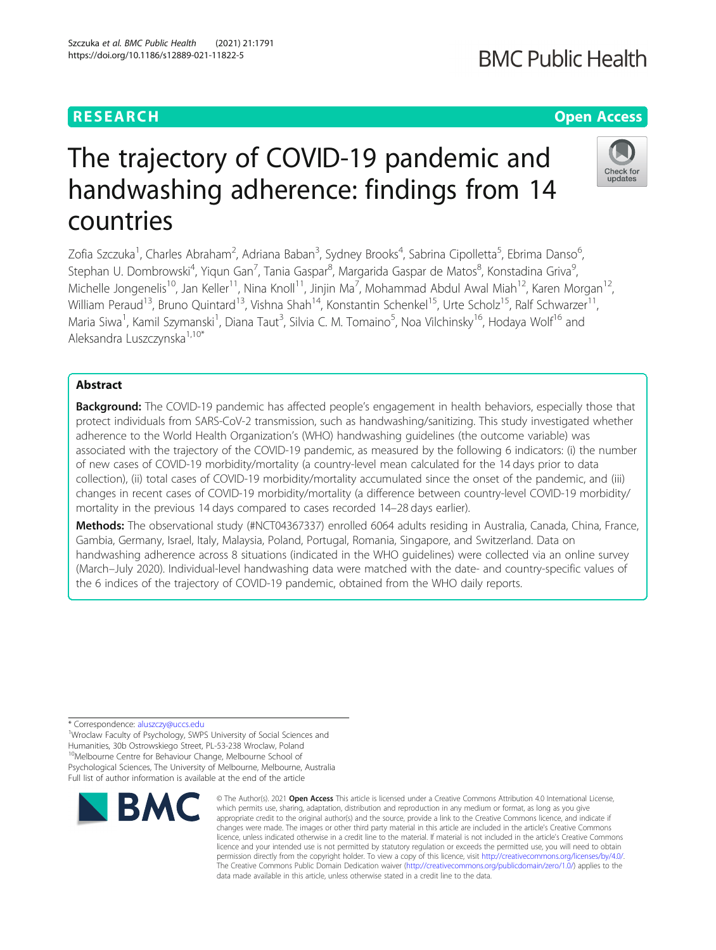## **RESEARCH CHEAR CHEAR CHEAR CHEAR CHEAR CHEAR CHEAR CHEAR CHEAR CHEAR CHEAR CHEAR CHEAR CHEAR CHEAR CHEAR CHEAR**

# The trajectory of COVID-19 pandemic and handwashing adherence: findings from 14 countries

Zofia Szczuka<sup>1</sup>, Charles Abraham<sup>2</sup>, Adriana Baban<sup>3</sup>, Sydney Brooks<sup>4</sup>, Sabrina Cipolletta<sup>5</sup>, Ebrima Danso<sup>6</sup> , Stephan U. Dombrowski<sup>4</sup>, Yiqun Gan<sup>7</sup>, Tania Gaspar<sup>8</sup>, Margarida Gaspar de Matos<sup>8</sup>, Konstadina Griva<sup>9</sup> , Michelle Jongenelis<sup>10</sup>, Jan Keller<sup>11</sup>, Nina Knoll<sup>11</sup>, Jinjin Ma<sup>7</sup>, Mohammad Abdul Awal Miah<sup>12</sup>, Karen Morgan<sup>12</sup>, William Peraud<sup>13</sup>, Bruno Quintard<sup>13</sup>, Vishna Shah<sup>14</sup>, Konstantin Schenkel<sup>15</sup>, Urte Scholz<sup>15</sup>, Ralf Schwarzer<sup>11</sup>, Maria Siwa<sup>1</sup>, Kamil Szymanski<sup>1</sup>, Diana Taut<sup>3</sup>, Silvia C. M. Tomaino<sup>5</sup>, Noa Vilchinsky<sup>16</sup>, Hodaya Wolf<sup>16</sup> and Aleksandra Luszczynska1,10\*

## Abstract

Background: The COVID-19 pandemic has affected people's engagement in health behaviors, especially those that protect individuals from SARS-CoV-2 transmission, such as handwashing/sanitizing. This study investigated whether adherence to the World Health Organization's (WHO) handwashing guidelines (the outcome variable) was associated with the trajectory of the COVID-19 pandemic, as measured by the following 6 indicators: (i) the number of new cases of COVID-19 morbidity/mortality (a country-level mean calculated for the 14 days prior to data collection), (ii) total cases of COVID-19 morbidity/mortality accumulated since the onset of the pandemic, and (iii) changes in recent cases of COVID-19 morbidity/mortality (a difference between country-level COVID-19 morbidity/ mortality in the previous 14 days compared to cases recorded 14–28 days earlier).

Methods: The observational study (#NCT04367337) enrolled 6064 adults residing in Australia, Canada, China, France, Gambia, Germany, Israel, Italy, Malaysia, Poland, Portugal, Romania, Singapore, and Switzerland. Data on handwashing adherence across 8 situations (indicated in the WHO guidelines) were collected via an online survey (March–July 2020). Individual-level handwashing data were matched with the date- and country-specific values of the 6 indices of the trajectory of COVID-19 pandemic, obtained from the WHO daily reports.

\* Correspondence: [aluszczy@uccs.edu](mailto:aluszczy@uccs.edu) <sup>1</sup>

<sup>1</sup>Wroclaw Faculty of Psychology, SWPS University of Social Sciences and Humanities, 30b Ostrowskiego Street, PL-53-238 Wroclaw, Poland <sup>10</sup>Melbourne Centre for Behaviour Change, Melbourne School of Psychological Sciences, The University of Melbourne, Melbourne, Australia Full list of author information is available at the end of the article



**BMC Public Health** 



**RMC** 

<sup>©</sup> The Author(s), 2021 **Open Access** This article is licensed under a Creative Commons Attribution 4.0 International License, which permits use, sharing, adaptation, distribution and reproduction in any medium or format, as long as you give appropriate credit to the original author(s) and the source, provide a link to the Creative Commons licence, and indicate if changes were made. The images or other third party material in this article are included in the article's Creative Commons licence, unless indicated otherwise in a credit line to the material. If material is not included in the article's Creative Commons licence and your intended use is not permitted by statutory regulation or exceeds the permitted use, you will need to obtain permission directly from the copyright holder. To view a copy of this licence, visit [http://creativecommons.org/licenses/by/4.0/.](http://creativecommons.org/licenses/by/4.0/) The Creative Commons Public Domain Dedication waiver [\(http://creativecommons.org/publicdomain/zero/1.0/](http://creativecommons.org/publicdomain/zero/1.0/)) applies to the data made available in this article, unless otherwise stated in a credit line to the data.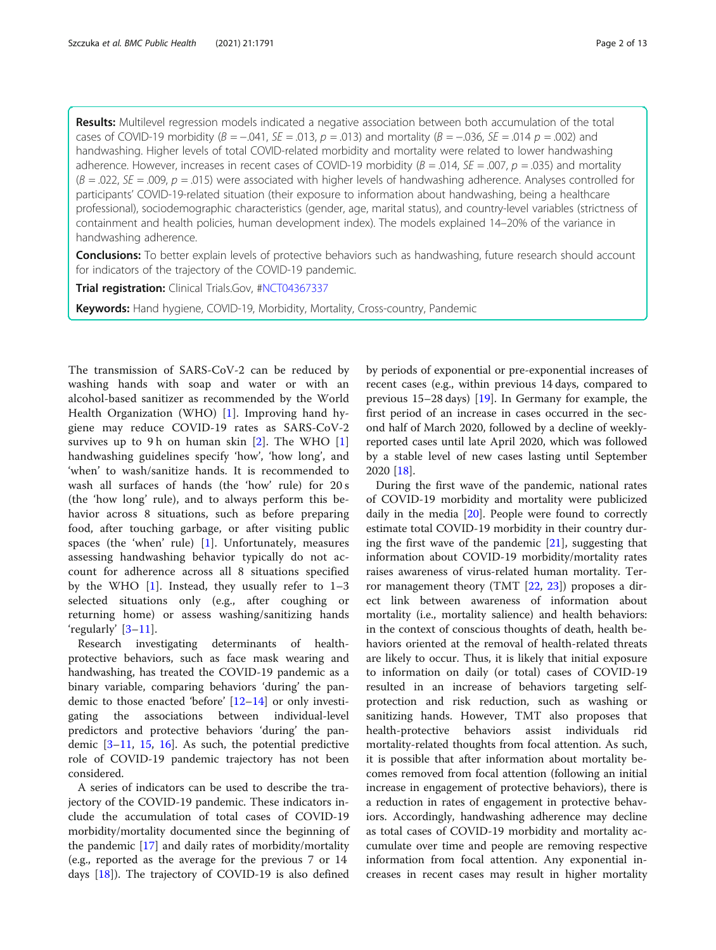Results: Multilevel regression models indicated a negative association between both accumulation of the total cases of COVID-19 morbidity ( $B = -0.041$ ,  $SE = 0.013$ ,  $p = 0.013$ ) and mortality ( $B = -0.036$ ,  $SE = 0.014$   $p = 0.002$ ) and handwashing. Higher levels of total COVID-related morbidity and mortality were related to lower handwashing adherence. However, increases in recent cases of COVID-19 morbidity ( $B = .014$ ,  $SE = .007$ ,  $p = .035$ ) and mortality  $(B = 0.02)$ ,  $SE = 0.09$ ,  $p = 0.015$ ) were associated with higher levels of handwashing adherence. Analyses controlled for participants' COVID-19-related situation (their exposure to information about handwashing, being a healthcare professional), sociodemographic characteristics (gender, age, marital status), and country-level variables (strictness of containment and health policies, human development index). The models explained 14–20% of the variance in handwashing adherence.

Conclusions: To better explain levels of protective behaviors such as handwashing, future research should account for indicators of the trajectory of the COVID-19 pandemic.

Trial registration: Clinical Trials.Gov, [#NCT04367337](https://clinicaltrials.gov/ct2/show/NCT04367337)

Keywords: Hand hygiene, COVID-19, Morbidity, Mortality, Cross-country, Pandemic

The transmission of SARS-CoV-2 can be reduced by washing hands with soap and water or with an alcohol-based sanitizer as recommended by the World Health Organization (WHO) [\[1](#page-11-0)]. Improving hand hygiene may reduce COVID-19 rates as SARS-CoV-2 survives up to 9 h on human skin  $[2]$  $[2]$ . The WHO  $[1]$  $[1]$ handwashing guidelines specify 'how', 'how long', and 'when' to wash/sanitize hands. It is recommended to wash all surfaces of hands (the 'how' rule) for 20 s (the 'how long' rule), and to always perform this behavior across 8 situations, such as before preparing food, after touching garbage, or after visiting public spaces (the 'when' rule) [\[1](#page-11-0)]. Unfortunately, measures assessing handwashing behavior typically do not account for adherence across all 8 situations specified by the WHO  $[1]$  $[1]$ . Instead, they usually refer to  $1-3$ selected situations only (e.g., after coughing or returning home) or assess washing/sanitizing hands 'regularly' [\[3](#page-11-0)–[11](#page-12-0)].

Research investigating determinants of healthprotective behaviors, such as face mask wearing and handwashing, has treated the COVID-19 pandemic as a binary variable, comparing behaviors 'during' the pandemic to those enacted 'before'  $[12-14]$  $[12-14]$  $[12-14]$  or only investigating the associations between individual-level predictors and protective behaviors 'during' the pandemic [[3](#page-11-0)–[11,](#page-12-0) [15](#page-12-0), [16](#page-12-0)]. As such, the potential predictive role of COVID-19 pandemic trajectory has not been considered.

A series of indicators can be used to describe the trajectory of the COVID-19 pandemic. These indicators include the accumulation of total cases of COVID-19 morbidity/mortality documented since the beginning of the pandemic [[17\]](#page-12-0) and daily rates of morbidity/mortality (e.g., reported as the average for the previous 7 or 14 days [[18\]](#page-12-0)). The trajectory of COVID-19 is also defined

by periods of exponential or pre-exponential increases of recent cases (e.g., within previous 14 days, compared to previous 15–28 days) [\[19](#page-12-0)]. In Germany for example, the first period of an increase in cases occurred in the second half of March 2020, followed by a decline of weeklyreported cases until late April 2020, which was followed by a stable level of new cases lasting until September 2020 [\[18](#page-12-0)].

During the first wave of the pandemic, national rates of COVID-19 morbidity and mortality were publicized daily in the media [[20\]](#page-12-0). People were found to correctly estimate total COVID-19 morbidity in their country during the first wave of the pandemic  $[21]$ , suggesting that information about COVID-19 morbidity/mortality rates raises awareness of virus-related human mortality. Terror management theory (TMT [[22](#page-12-0), [23](#page-12-0)]) proposes a direct link between awareness of information about mortality (i.e., mortality salience) and health behaviors: in the context of conscious thoughts of death, health behaviors oriented at the removal of health-related threats are likely to occur. Thus, it is likely that initial exposure to information on daily (or total) cases of COVID-19 resulted in an increase of behaviors targeting selfprotection and risk reduction, such as washing or sanitizing hands. However, TMT also proposes that health-protective behaviors assist individuals rid mortality-related thoughts from focal attention. As such, it is possible that after information about mortality becomes removed from focal attention (following an initial increase in engagement of protective behaviors), there is a reduction in rates of engagement in protective behaviors. Accordingly, handwashing adherence may decline as total cases of COVID-19 morbidity and mortality accumulate over time and people are removing respective information from focal attention. Any exponential increases in recent cases may result in higher mortality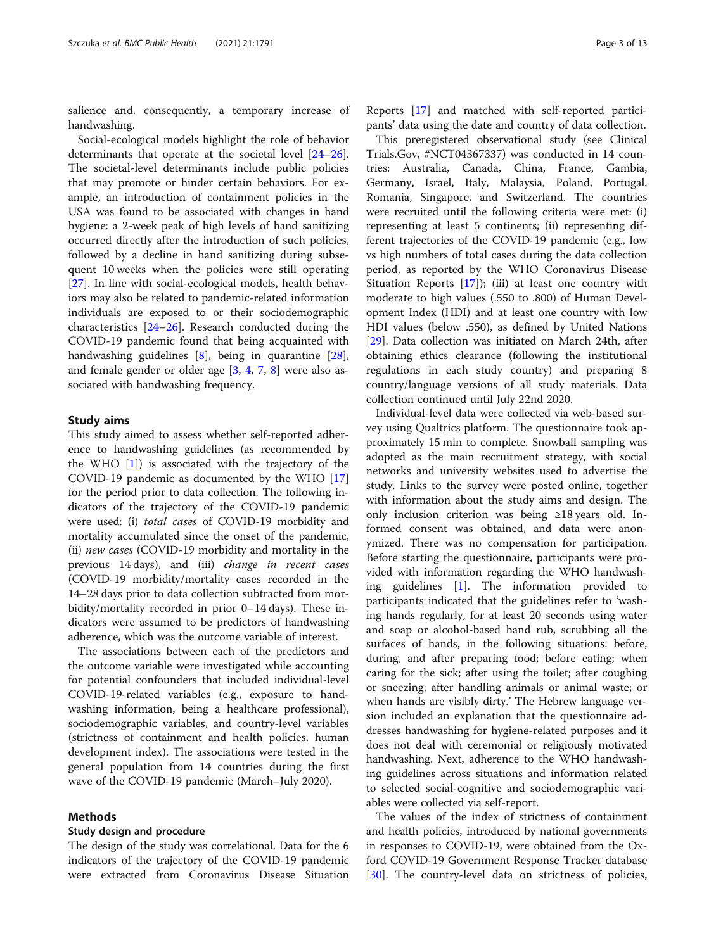salience and, consequently, a temporary increase of handwashing.

Social-ecological models highlight the role of behavior determinants that operate at the societal level [[24](#page-12-0)–[26](#page-12-0)]. The societal-level determinants include public policies that may promote or hinder certain behaviors. For example, an introduction of containment policies in the USA was found to be associated with changes in hand hygiene: a 2-week peak of high levels of hand sanitizing occurred directly after the introduction of such policies, followed by a decline in hand sanitizing during subsequent 10 weeks when the policies were still operating [[27\]](#page-12-0). In line with social-ecological models, health behaviors may also be related to pandemic-related information individuals are exposed to or their sociodemographic characteristics [[24](#page-12-0)–[26](#page-12-0)]. Research conducted during the COVID-19 pandemic found that being acquainted with handwashing guidelines [\[8](#page-12-0)], being in quarantine [\[28](#page-12-0)], and female gender or older age [[3](#page-11-0), [4,](#page-11-0) [7,](#page-12-0) [8\]](#page-12-0) were also associated with handwashing frequency.

#### Study aims

This study aimed to assess whether self-reported adherence to handwashing guidelines (as recommended by the WHO  $[1]$  $[1]$  $[1]$ ) is associated with the trajectory of the COVID-19 pandemic as documented by the WHO [[17](#page-12-0)] for the period prior to data collection. The following indicators of the trajectory of the COVID-19 pandemic were used: (i) total cases of COVID-19 morbidity and mortality accumulated since the onset of the pandemic, (ii) new cases (COVID-19 morbidity and mortality in the previous 14 days), and (iii) change in recent cases (COVID-19 morbidity/mortality cases recorded in the 14–28 days prior to data collection subtracted from morbidity/mortality recorded in prior 0–14 days). These indicators were assumed to be predictors of handwashing adherence, which was the outcome variable of interest.

The associations between each of the predictors and the outcome variable were investigated while accounting for potential confounders that included individual-level COVID-19-related variables (e.g., exposure to handwashing information, being a healthcare professional), sociodemographic variables, and country-level variables (strictness of containment and health policies, human development index). The associations were tested in the general population from 14 countries during the first wave of the COVID-19 pandemic (March–July 2020).

## Methods

## Study design and procedure

The design of the study was correlational. Data for the 6 indicators of the trajectory of the COVID-19 pandemic were extracted from Coronavirus Disease Situation Reports [\[17](#page-12-0)] and matched with self-reported participants' data using the date and country of data collection.

This preregistered observational study (see Clinical Trials.Gov, #NCT04367337) was conducted in 14 countries: Australia, Canada, China, France, Gambia, Germany, Israel, Italy, Malaysia, Poland, Portugal, Romania, Singapore, and Switzerland. The countries were recruited until the following criteria were met: (i) representing at least 5 continents; (ii) representing different trajectories of the COVID-19 pandemic (e.g., low vs high numbers of total cases during the data collection period, as reported by the WHO Coronavirus Disease Situation Reports  $[17]$ ; (iii) at least one country with moderate to high values (.550 to .800) of Human Development Index (HDI) and at least one country with low HDI values (below .550), as defined by United Nations [[29\]](#page-12-0). Data collection was initiated on March 24th, after obtaining ethics clearance (following the institutional regulations in each study country) and preparing 8 country/language versions of all study materials. Data collection continued until July 22nd 2020.

Individual-level data were collected via web-based survey using Qualtrics platform. The questionnaire took approximately 15 min to complete. Snowball sampling was adopted as the main recruitment strategy, with social networks and university websites used to advertise the study. Links to the survey were posted online, together with information about the study aims and design. The only inclusion criterion was being ≥18 years old. Informed consent was obtained, and data were anonymized. There was no compensation for participation. Before starting the questionnaire, participants were provided with information regarding the WHO handwashing guidelines [[1\]](#page-11-0). The information provided to participants indicated that the guidelines refer to 'washing hands regularly, for at least 20 seconds using water and soap or alcohol-based hand rub, scrubbing all the surfaces of hands, in the following situations: before, during, and after preparing food; before eating; when caring for the sick; after using the toilet; after coughing or sneezing; after handling animals or animal waste; or when hands are visibly dirty.' The Hebrew language version included an explanation that the questionnaire addresses handwashing for hygiene-related purposes and it does not deal with ceremonial or religiously motivated handwashing. Next, adherence to the WHO handwashing guidelines across situations and information related to selected social-cognitive and sociodemographic variables were collected via self-report.

The values of the index of strictness of containment and health policies, introduced by national governments in responses to COVID-19, were obtained from the Oxford COVID-19 Government Response Tracker database [[30\]](#page-12-0). The country-level data on strictness of policies,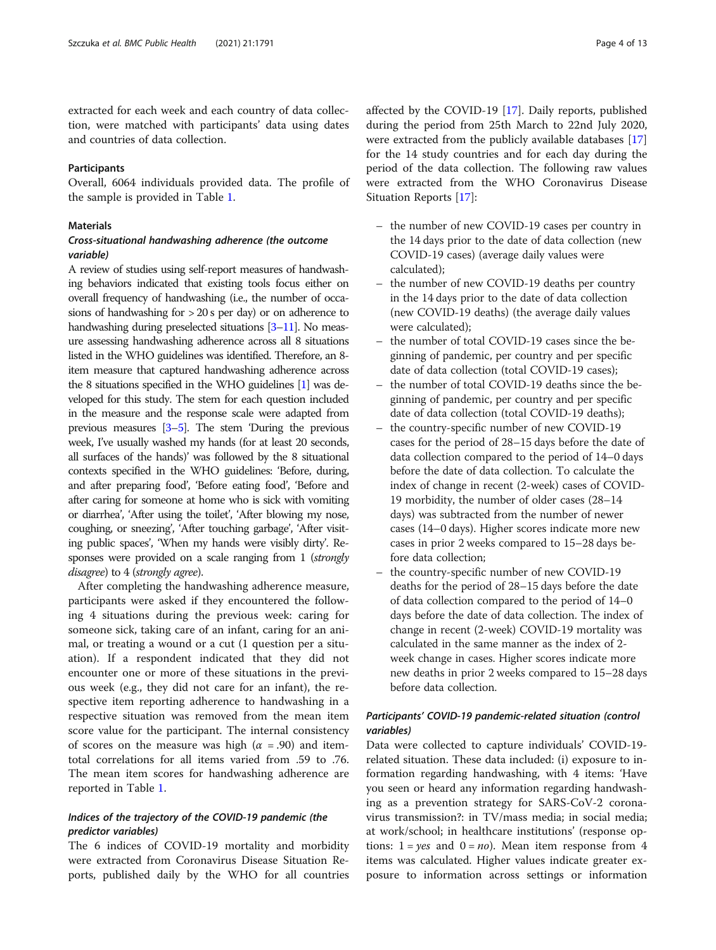extracted for each week and each country of data collection, were matched with participants' data using dates and countries of data collection.

## **Participants**

Overall, 6064 individuals provided data. The profile of the sample is provided in Table [1.](#page-4-0)

#### **Materials**

## Cross-situational handwashing adherence (the outcome variable)

A review of studies using self-report measures of handwashing behaviors indicated that existing tools focus either on overall frequency of handwashing (i.e., the number of occasions of handwashing for  $> 20$  s per day) or on adherence to handwashing during preselected situations [\[3](#page-11-0)–[11\]](#page-12-0). No measure assessing handwashing adherence across all 8 situations listed in the WHO guidelines was identified. Therefore, an 8 item measure that captured handwashing adherence across the 8 situations specified in the WHO guidelines [\[1](#page-11-0)] was developed for this study. The stem for each question included in the measure and the response scale were adapted from previous measures [\[3](#page-11-0)–[5\]](#page-11-0). The stem 'During the previous week, I've usually washed my hands (for at least 20 seconds, all surfaces of the hands)' was followed by the 8 situational contexts specified in the WHO guidelines: 'Before, during, and after preparing food', 'Before eating food', 'Before and after caring for someone at home who is sick with vomiting or diarrhea', 'After using the toilet', 'After blowing my nose, coughing, or sneezing', 'After touching garbage', 'After visiting public spaces', 'When my hands were visibly dirty'. Responses were provided on a scale ranging from 1 (strongly disagree) to 4 (strongly agree).

After completing the handwashing adherence measure, participants were asked if they encountered the following 4 situations during the previous week: caring for someone sick, taking care of an infant, caring for an animal, or treating a wound or a cut (1 question per a situation). If a respondent indicated that they did not encounter one or more of these situations in the previous week (e.g., they did not care for an infant), the respective item reporting adherence to handwashing in a respective situation was removed from the mean item score value for the participant. The internal consistency of scores on the measure was high ( $\alpha$  = .90) and itemtotal correlations for all items varied from .59 to .76. The mean item scores for handwashing adherence are reported in Table [1](#page-4-0).

## Indices of the trajectory of the COVID-19 pandemic (the predictor variables)

The 6 indices of COVID-19 mortality and morbidity were extracted from Coronavirus Disease Situation Reports, published daily by the WHO for all countries affected by the COVID-19 [\[17\]](#page-12-0). Daily reports, published during the period from 25th March to 22nd July 2020, were extracted from the publicly available databases [[17](#page-12-0)] for the 14 study countries and for each day during the period of the data collection. The following raw values were extracted from the WHO Coronavirus Disease Situation Reports [[17\]](#page-12-0):

- the number of new COVID-19 cases per country in the 14 days prior to the date of data collection (new COVID-19 cases) (average daily values were calculated);
- the number of new COVID-19 deaths per country in the 14 days prior to the date of data collection (new COVID-19 deaths) (the average daily values were calculated);
- the number of total COVID-19 cases since the beginning of pandemic, per country and per specific date of data collection (total COVID-19 cases);
- the number of total COVID-19 deaths since the beginning of pandemic, per country and per specific date of data collection (total COVID-19 deaths);
- the country-specific number of new COVID-19 cases for the period of 28–15 days before the date of data collection compared to the period of 14–0 days before the date of data collection. To calculate the index of change in recent (2-week) cases of COVID-19 morbidity, the number of older cases (28–14 days) was subtracted from the number of newer cases (14–0 days). Higher scores indicate more new cases in prior 2 weeks compared to 15–28 days before data collection;
- the country-specific number of new COVID-19 deaths for the period of 28–15 days before the date of data collection compared to the period of 14–0 days before the date of data collection. The index of change in recent (2-week) COVID-19 mortality was calculated in the same manner as the index of 2 week change in cases. Higher scores indicate more new deaths in prior 2 weeks compared to 15–28 days before data collection.

## Participants' COVID-19 pandemic-related situation (control variables)

Data were collected to capture individuals' COVID-19 related situation. These data included: (i) exposure to information regarding handwashing, with 4 items: 'Have you seen or heard any information regarding handwashing as a prevention strategy for SARS-CoV-2 coronavirus transmission?: in TV/mass media; in social media; at work/school; in healthcare institutions' (response options:  $1 = yes$  and  $0 = no$ ). Mean item response from 4 items was calculated. Higher values indicate greater exposure to information across settings or information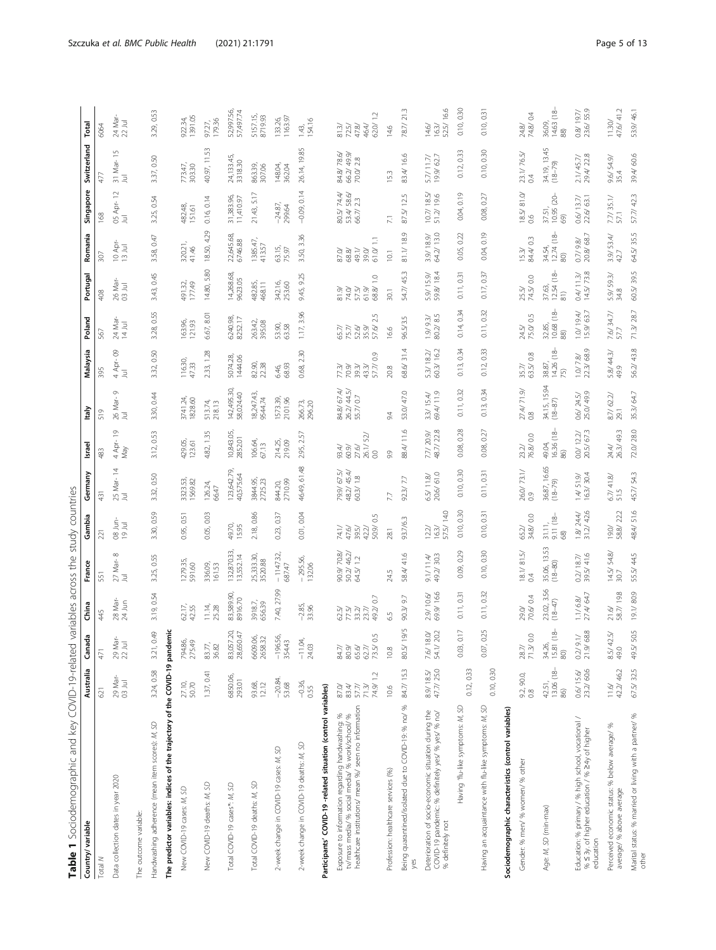<span id="page-4-0"></span>

| Table 1 Sociodemographic and key COVID-19-related variables across the study countries                                                                      |                                                            |                                                       |                                |                                      |                                                  |                                        |                                                         |                                    |                                                     |                                         |                                                                      |                                      |                                                             |                                      |                                          |
|-------------------------------------------------------------------------------------------------------------------------------------------------------------|------------------------------------------------------------|-------------------------------------------------------|--------------------------------|--------------------------------------|--------------------------------------------------|----------------------------------------|---------------------------------------------------------|------------------------------------|-----------------------------------------------------|-----------------------------------------|----------------------------------------------------------------------|--------------------------------------|-------------------------------------------------------------|--------------------------------------|------------------------------------------|
| Country/ variable                                                                                                                                           | Australia                                                  | Canada                                                | China                          | France                               | Gambia                                           | Germany                                | Israel                                                  | Italy                              | Malaysia                                            | Poland                                  | Portuga                                                              | Romania                              | Singapore                                                   | Switzerland                          | Total                                    |
| Total N                                                                                                                                                     | 621                                                        | 471                                                   | 45                             | 551                                  | 221                                              | 431                                    | 483                                                     | 519                                | 395                                                 | 567                                     | 408                                                                  | 307                                  | 168                                                         | 477                                  | 6064                                     |
| Data collection dates in year 2020                                                                                                                          | 29 Mar-<br>03 Jul                                          | 29 Mar-<br>22 Jul                                     | 28 Mar-<br>24 Jun              | $27$ Mar-8<br>Ξ                      | 08 Jun-<br>19 Jul                                | 25 Mar-14<br>耳                         | 4 Apr-19<br>Nay                                         | G<br>26 Mar-<br>$\bar{z}$          | පි<br>4 Apr-<br>$\overline{z}$                      | 24 Mar-<br>14 Jul                       | 26 Mar-<br>03 Jul                                                    | 10 Apr-<br>13 Jul                    | $\approx$<br>05 Apr-<br>Jul                                 | $\frac{5}{2}$<br>31 Mar-<br>耳        | 24 Mar-<br>22 Jul                        |
| The outcome variable:                                                                                                                                       |                                                            |                                                       |                                |                                      |                                                  |                                        |                                                         |                                    |                                                     |                                         |                                                                      |                                      |                                                             |                                      |                                          |
| Handwashing adherence (mean item scores): M, SD                                                                                                             | 3.24, 0.58                                                 | 0.49<br>3.21,                                         | 3.19, 0.54                     | 3.25, 0.55                           | 3.30, 0.59                                       | 3.32, 0.50                             | 3.12, 0.53                                              | 3.30, 0.44                         | 3.32, 0.50                                          | 3.28, 0.55                              | 3.43, 0.45                                                           | 3.58, 0.47                           | 3.25, 0.54                                                  | 3.37, 0.50                           | 3.29, 0.53                               |
| The predictor variables: indices of the trajectory of the COVID-19 pandemic                                                                                 |                                                            |                                                       |                                |                                      |                                                  |                                        |                                                         |                                    |                                                     |                                         |                                                                      |                                      |                                                             |                                      |                                          |
| New COVID-19 cases: M, SD                                                                                                                                   | 27.10,<br>50.70                                            | 794.86,<br>275.49                                     | 62.17,<br>42.55                | 127935,<br>591.60                    | 0.95, 0.51                                       | 3323.53,<br>1569.82                    | 429.05,                                                 | 3741.24,                           | 116.30,<br>47.33                                    | 163.96,<br>121.93                       | 491.32,<br>177.49                                                    | 320.21,<br>41.46                     | 482.48,<br>151.61                                           | 773.47,<br>303.30                    | 922.34,<br>1391.05                       |
| New COVID-19 deaths: M, SD                                                                                                                                  | 1.37, 0.41                                                 | 83.77,<br>36.82                                       | 11.14,<br>25.28                | 336.09,<br>161.53                    | 0.05, 0.03                                       | 126.24, 66.47                          | 4.82, 1.35                                              | 513.74,<br>218.13                  | 2.33, 1.28                                          | 6.67, 8.01                              | 14.80, 5.80                                                          | 18.50, 4.29                          | 0.16, 0.14                                                  | 40.97, 11.53                         | 97.27,<br>179.36                         |
| SD<br>Total COVID-19 cases*: M,                                                                                                                             | 6850.06<br>293.01                                          | 83,057.20<br>28,650.47                                | 83,589.90,<br>8916.70          | 32,870.33,<br>3,552.14               | 49.70,<br>15.95                                  | 23,642.79,<br>40,575.64                | 10,843.05,<br>2852.01                                   | 142,495.30,<br>58,024.40           | 5074.28,<br>1444.06                                 | 6240.98,<br>8252.17                     | 4,268.68,<br>9623.05                                                 | 22,645.68,<br>6746.88                | 31,383.96,<br>11,410.97                                     | 24,133.45,<br>3318.30                | 52,997.56,<br>57,497.74                  |
| S<br>Total COVID-19 deaths: M,                                                                                                                              | 93.68,<br>12.12                                            | 6609.06,<br>2658.32                                   | 3918.7,<br>656.39              | 25,333.30,<br>3520.88                | 2.18,0.86                                        | 3844.95,<br>2725.23                    | 106.64,<br>67.13                                        | 8,247.43<br>9544.74                | 82.90,<br>22.38                                     | 263.42,<br>395.08                       | 482.85,<br>468.11                                                    | 1385.47,<br>413.57                   | 21.43, 5.17                                                 | 863.39,<br>307.06                    | 5157.15,<br>8719.93                      |
| 2-week change in COVID-19 cases: M, SD                                                                                                                      | $-20.84.$<br>53.68                                         | $-196.56$<br>354.43                                   | 7.40, 27.99                    | $-1147.32$<br>687.47                 | 0.23, 0.37                                       | 844.20,<br>2710.99                     | 214.25,<br>219.09                                       | 1573.39,<br>2101.96                | 6.46,<br>68.93                                      | 53.90,                                  | 342.16,<br>253.60                                                    | 63.15,                               | 24.87<br>299.64                                             | 148.04,<br>362.04                    | 133.26,<br>1163.97                       |
| 2-week change in COVID-19 deaths: M, SD                                                                                                                     | $-0.36,$<br>0.55                                           | S,<br>24.03<br>$\overline{1}$                         | $-2.85$ ,<br>33.96             | 295.56,<br>132.06                    | 0.01, 0.04                                       | 46.49, 61.48                           | 2.95, 2.57                                              | 266.73,<br>296.20                  | 0.68, 2.30                                          | 1.17, 3.96                              | 9.45, 9.25                                                           | 3.50, 3.36                           | $-0.09, 0.14$                                               | 26.14, 19.85                         | 1.43,<br>154.16                          |
| Participants' COVID-19-related situation (control variables)                                                                                                |                                                            |                                                       |                                |                                      |                                                  |                                        |                                                         |                                    |                                                     |                                         |                                                                      |                                      |                                                             |                                      |                                          |
| healthcare institutions/ mean %/ seen no information<br>Exposure to information regarding handwashing: %<br>tv/mass media/ % social media/ % work/school/ % | 74.9/1.2<br>87.0/<br>83.4/<br>57.7/<br>71.3/               | 0.5<br>$84.7/$<br>$80.9/$<br>$73.5/$<br>65.6<br>62.7, | 49.2/0.7<br>57<br>2757<br>2758 | 90.9/70.8/<br>50.2/46.2/<br>64.5/1.2 | 50.9/0.5<br>74.1/<br>$39.5/$<br>$42.2/$<br>47.6/ | 79.9/ 67.5/<br>48.2/ 45.4/<br>60.3/1.8 | 52/<br>26.1/<br>$93.4/$<br>60.9/<br>27.6/<br>$_{\odot}$ | 848/67.4/<br>262/44.5/<br>55.7/0.7 | $_{0.9}$<br>57.7/<br>77.97.97<br>2007.97<br>2007.97 | 57.6/2.5<br>$52.6/$<br>$35.9/$<br>65.7/ | $\overline{a}$<br>68.8/<br>sider sider<br>Sider sider<br>Sider sider | 61.0/1.1<br>$87.0/$ $68.8/$<br>49.1/ | 80.5/74.4/<br>53.4/58.6/<br>66.7/2.3                        | 84.8/78.6/<br>66.2/49.9/<br>70.0/2.8 | 62.0/1.2<br>47.8/<br>$\frac{81.3}{72.5}$ |
| Profession: healthcare services (%)                                                                                                                         | 10.6                                                       | 10.8                                                  | 55                             | 24.5                                 | 28.1                                             | 7.7                                    | 9.9                                                     | 24                                 | 20.8                                                | 16.6                                    | 30.1                                                                 | $\overline{a}$                       | R                                                           | 15.3                                 | 14.6                                     |
| Being quarantined/isolated due to COVID-19: % no/ %<br>yes                                                                                                  | 84.7/15.3                                                  | 19/5<br>80.5/                                         | 90.3/9.7                       | 58.4/41.6                            | 93.7/6.3                                         | 92.3/7.7                               | 88.4/11.6                                               | 53.0/47.0                          | 31.4<br>68.6/                                       | 96.5/3.5                                | 453<br>54.7/                                                         | 81.1/18.9                            | 12.5<br>87.5/                                               | 83.4/16.6                            | 78.7/21.3                                |
| Deterioration of socio-economic situation during the<br>COVID-19 pandemic: % definitely yes/ % yes/ % no/<br>% definitely not                               | $\begin{array}{c} 8.9 / 18.5 / \\ 47.7 / 25.0 \end{array}$ | 7.6/18.0/<br>54.1/20.2                                | 2.9/10.6/<br>69.9/16.6         | $9.1/11.4/$<br>49.2/30.3             | 57.5/14.0<br>$12.2/$<br>16.3/                    | 20.6/61.0<br>$6.5/$ $11.8/$            | 2.7/209/                                                | 33/15.4/                           | 5.3/ 18.2/ 60.3/ 16.2                               | 1.9/9.3/85                              | 5.9/15.9/<br>59.8/184                                                | 3.9/18.9/                            | $\begin{array}{c} 10.7 / 18.5 / \\ 51.2 / 19.6 \end{array}$ | $\frac{5.7}{19.9}{62.7}$             | 52.5/16.6<br>$14.6/$<br>16.3/            |
| Having 'flu-like symptoms: M, SD                                                                                                                            | 0.12, 0.33                                                 | 0.17<br>0.03,                                         | 0.11, 0.31                     | 0.09, 0.29                           | 0.10, 0.30                                       | 0.10, 0.30                             | 0.08, 0.28                                              | 0.11, 0.32                         | 0.34<br>0.13                                        | 0.14, 0.34                              | 0.11, 0.31                                                           | 0.05, 0.22                           | 0.19<br>0.04,                                               | 0.12, 0.33                           | 0.10, 0.30                               |
| Having an acquaintance with flu-like symptoms: M, SD                                                                                                        | 0.10, 0.30                                                 | 0.25<br>0.07,                                         | 0.11, 0.32                     | 0.10, 0.30                           | 0.10, 0.31                                       | 0.11, 0.31                             | 0.08, 0.27                                              | 0.13, 0.34                         | 0.33<br>0.12,                                       | 0.11, 0.32                              | 0.17, 0.37                                                           | 0.04, 0.19                           | 0.27<br>0.08                                                | 0.10, 0.30                           | 0.10, 0.31                               |
| Sociodemographic characteristics (control variables)                                                                                                        |                                                            |                                                       |                                |                                      |                                                  |                                        |                                                         |                                    |                                                     |                                         |                                                                      |                                      |                                                             |                                      |                                          |
| Gender: % men/ % women/ % other                                                                                                                             | 9.2, 90.0, 0.8                                             | 71.3/000<br>$28.7/$                                   | 70.6/0.4<br>29.0/              | $\frac{18.1/81.5}{0.4}$              | 65.2/<br>34.8/0.0                                | 26.0/73.1/<br>0.9                      | 76.8/00<br>23.2/                                        | $274/71.9/$<br>0.8                 | 63.5/0.8<br>35.7/                                   | 75.0/0.5<br>24.5/                       | 25.5/<br>74.5/000                                                    | 84.4/0.3<br>15.3/                    | 18.5/ 81.0<br>0.6                                           | 23.1/76.5/<br>$\ddot{\circ}$         | 74.8/0.4<br>$24.8/$                      |
| Age: M, SD (min-max)                                                                                                                                        | 13.06 (18-<br>42.51,<br>86)                                | 15.81 (18-<br>34.26,<br>$\circledS$                   | 23.02, 3.56<br>(18-47)         | 35.06, 13.53<br>$(18 - 80)$          | $\frac{31.11}{9.11}$ (18-<br>68)                 | 36.87, 16.65<br>(18-79)                | 16.36 (18-<br>49.04,<br>86)                             | 34.15, 15.94<br>(18-87)            | 14.26 (18-<br>38.87,<br>(5)                         | 10.68 (18-<br>32.85,<br>$\circledR$     | 37.63,<br>12.54 (18-<br>$\frac{81}{2}$                               | 34.54,<br>12.74 (18-<br>$\circledS$  | 37.51,<br>10.95 (20-<br>69)                                 | 34.19, 13.45<br>(18-79)              | 14.63 (18<br>36.09,<br>$\overline{8}$    |
| Education: % primary / % high school, vocational /<br>% < 3y. of higher education / % > 4y of higher<br>education                                           | 23.2/60.6<br>0.6/15.6/                                     | 68.8<br>$\geq$<br>21.9/<br>0.2/                       | 27.4/64.7<br>1.1/6.8/          | 39.5/41.6<br>0.2/18.7/               | 31.2/42.6<br>1.8/ 24.4/                          | 1.4/ 51.9/ 16.3/ 30.4                  | 20.5/67.3<br>0.0/122/                                   | 25.0/49.9<br>0.6/ 24.5/            | $1.0/7.8/$<br>22.3/68.9                             | 1.0/19.4/15.9/63.7                      | 14.5/73.8<br>0.4/113/                                                | 20.8/68.7<br>0.7 / 9.8               | 63.1<br>0.6/13.7/<br>22.6/                                  | 29.4/22.8<br>2.1/45.7/               | 0.8/19.7/<br>23.6/55.9                   |
| Perceived economic status: % below average/ %<br>average/ % above average                                                                                   | 42.2/ 46.2<br>$11.6/$                                      | 42.5/<br>$8.5/$<br>49.0                               | 58.7/198<br>$21.6/$            | 14.5/54.8/30.7                       | 58.8/22.2<br>0.61                                | 6.7/41.8<br>51.5                       | 24.4/<br>26.3/ 49.3                                     | 8.7/62.2/<br>29.1                  | 5.8/44.3/<br>49.9                                   | 7.6/ 34.7/<br>57.7                      | 5.9/ 593/<br>34.8                                                    | 3.9 / 53.4/<br>42.7                  | $\frac{7.7}{35.1}$                                          | $9.6/54.9/$<br>35.4                  | 47.6/41.2<br>11.30/                      |
| Marital status: % married or living with a partner/ %<br>other                                                                                              | 67.5/32.5                                                  | 50.5<br>49.5/                                         | 19.1/80.9                      | 55.5/44.5                            | 51.6<br>48.4/                                    | 45.7/54.3                              | 72.0/28.0                                               | 35.3/64.7                          | 56.2/43.8                                           | 71.3/28.7                               | 60.5/39.5                                                            | 64.5/35.5                            | 57.7/42.3                                                   | 39.4/60.6                            | 53.9/46.1                                |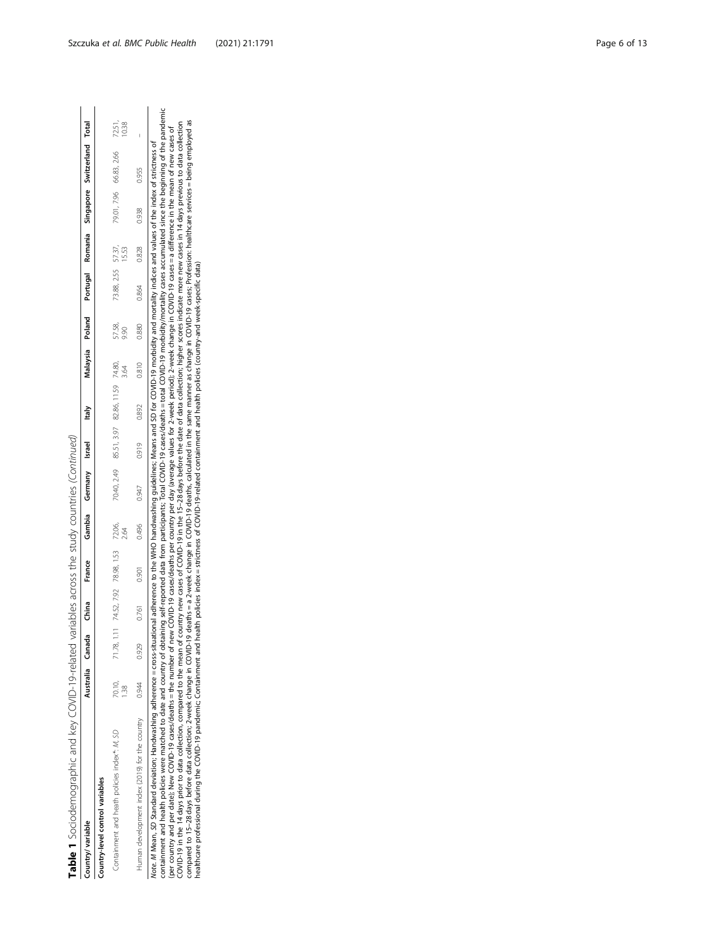Table 1 Sociodemographic and key COVID-19-related variables across the study countries (Continued) Table 1 Sociodemographic and key COVID-19-related variables across the study countries (Continued)

| Country/variable                                                                                                                                                                                                                                                                                                                                                                                                                                               |        |       |       | Australia Canada China France              |       | Gambia Germany Israel Italy                                                                                                                                         |       |       |       |                |                    |       |       | Malaysia Poland Portugal Romania Singapore Switzerland Total |        |
|----------------------------------------------------------------------------------------------------------------------------------------------------------------------------------------------------------------------------------------------------------------------------------------------------------------------------------------------------------------------------------------------------------------------------------------------------------------|--------|-------|-------|--------------------------------------------|-------|---------------------------------------------------------------------------------------------------------------------------------------------------------------------|-------|-------|-------|----------------|--------------------|-------|-------|--------------------------------------------------------------|--------|
| Country-level control variables                                                                                                                                                                                                                                                                                                                                                                                                                                |        |       |       |                                            |       |                                                                                                                                                                     |       |       |       |                |                    |       |       |                                                              |        |
| Containment and heath policies index*: M, SD                                                                                                                                                                                                                                                                                                                                                                                                                   | 70.10, |       |       | 71.78, 1.11 74.52, 7.92 78.98, 1.53 72.06, |       | 70.40, 2.49 85.51, 3.97 82.86, 11.59 74.80,                                                                                                                         |       |       | 3.64  | 57.58,<br>9.90 | 73.88, 2.55 57.37, | 15.53 |       | 79.01, 7.96 66.83, 2.66                                      | 72.51, |
| Human development index (2019) for the country                                                                                                                                                                                                                                                                                                                                                                                                                 | 0.944  | 0.929 | 0.761 | 0.901                                      | 0.496 | 0.947                                                                                                                                                               | 0.919 | 0.892 | 0.810 | 0.880          | 0.864              | 0.828 | 0.938 | 0.955                                                        |        |
| containment and health policies were matched to date and country of obtaining self-reported data from participants; Total COVID-19 cases/deaths = total COVID-19 morbidity/mortality cases accumulated since the beginning of<br>Note. M Mean, SD Standard deviation; Handwashing adherence -cross-situational adherence to the WHO handwashing quidelines; Means and SD for COVID-19 morbidity and mortality indices and values of the index of strictness of |        |       |       |                                            |       |                                                                                                                                                                     |       |       |       |                |                    |       |       |                                                              |        |
| (per country and per date); New COVID-19 closes/deaths = the number of mew COVID-19 cases/deaths per country per day (average values for 2-week period); 2-week change in COVID-19 cases = a difference in the mean of new cas                                                                                                                                                                                                                                 |        |       |       |                                            |       |                                                                                                                                                                     |       |       |       |                |                    |       |       |                                                              |        |
| COVID-19 in the 14 days prior to data collection, compared to the mean                                                                                                                                                                                                                                                                                                                                                                                         |        |       |       |                                            |       | of country new cases of COVID-19 in the 15-28 days before the date of data collection; higher scores indicate more new cases in 14 days previous to data collection |       |       |       |                |                    |       |       |                                                              |        |
| compared to 15-28 days before data collection; 2-week change in COVID-19 deaths = a 2-week change in COVID-19 deaths, calculated in the same manner as change in COVID-19 cases; Profession: healthcare services = being emplo<br>healthcare professional during the COVID-19 pandemic; Containment and health policies index = strictness of COVID-19-related containment and health policies (county-and week-specific data)                                 |        |       |       |                                            |       |                                                                                                                                                                     |       |       |       |                |                    |       |       |                                                              |        |
|                                                                                                                                                                                                                                                                                                                                                                                                                                                                |        |       |       |                                            |       |                                                                                                                                                                     |       |       |       |                |                    |       |       |                                                              |        |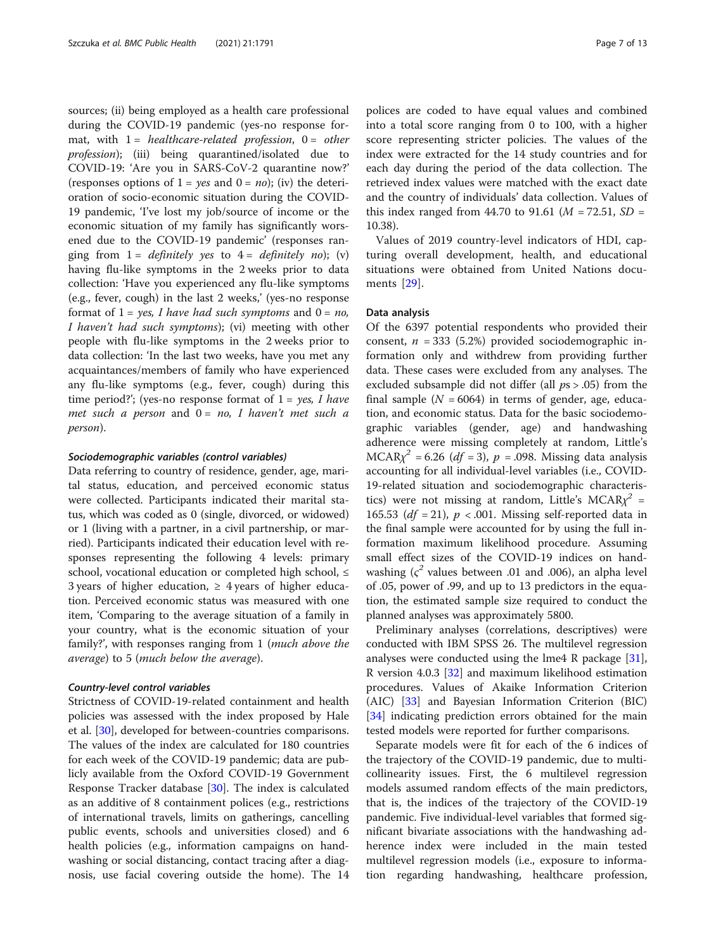sources; (ii) being employed as a health care professional during the COVID-19 pandemic (yes-no response format, with  $1 =$  healthcare-related profession,  $0 =$  other profession); (iii) being quarantined/isolated due to COVID-19: 'Are you in SARS-CoV-2 quarantine now?' (responses options of  $1 = yes$  and  $0 = no$ ); (iv) the deterioration of socio-economic situation during the COVID-19 pandemic, 'I've lost my job/source of income or the economic situation of my family has significantly worsened due to the COVID-19 pandemic' (responses ranging from  $1 =$  definitely yes to  $4 =$  definitely no); (v) having flu-like symptoms in the 2 weeks prior to data collection: 'Have you experienced any flu-like symptoms (e.g., fever, cough) in the last 2 weeks,' (yes-no response format of  $1 = yes$ , I have had such symptoms and  $0 = no$ , I haven't had such symptoms); (vi) meeting with other people with flu-like symptoms in the 2 weeks prior to data collection: 'In the last two weeks, have you met any acquaintances/members of family who have experienced any flu-like symptoms (e.g., fever, cough) during this time period?'; (yes-no response format of  $1 = yes$ , I have met such a person and  $0 = no$ , I haven't met such a person).

#### Sociodemographic variables (control variables)

Data referring to country of residence, gender, age, marital status, education, and perceived economic status were collected. Participants indicated their marital status, which was coded as 0 (single, divorced, or widowed) or 1 (living with a partner, in a civil partnership, or married). Participants indicated their education level with responses representing the following 4 levels: primary school, vocational education or completed high school, ≤ 3 years of higher education,  $\geq$  4 years of higher education. Perceived economic status was measured with one item, 'Comparing to the average situation of a family in your country, what is the economic situation of your family?', with responses ranging from 1 (much above the average) to 5 (much below the average).

#### Country-level control variables

Strictness of COVID-19-related containment and health policies was assessed with the index proposed by Hale et al. [\[30](#page-12-0)], developed for between-countries comparisons. The values of the index are calculated for 180 countries for each week of the COVID-19 pandemic; data are publicly available from the Oxford COVID-19 Government Response Tracker database [\[30](#page-12-0)]. The index is calculated as an additive of 8 containment polices (e.g., restrictions of international travels, limits on gatherings, cancelling public events, schools and universities closed) and 6 health policies (e.g., information campaigns on handwashing or social distancing, contact tracing after a diagnosis, use facial covering outside the home). The 14 polices are coded to have equal values and combined into a total score ranging from 0 to 100, with a higher score representing stricter policies. The values of the index were extracted for the 14 study countries and for each day during the period of the data collection. The retrieved index values were matched with the exact date and the country of individuals' data collection. Values of this index ranged from 44.70 to 91.61 ( $M = 72.51$ ,  $SD =$ 10.38).

Values of 2019 country-level indicators of HDI, capturing overall development, health, and educational situations were obtained from United Nations documents [\[29](#page-12-0)].

## Data analysis

Of the 6397 potential respondents who provided their consent,  $n = 333$  (5.2%) provided sociodemographic information only and withdrew from providing further data. These cases were excluded from any analyses. The excluded subsample did not differ (all  $ps > .05$ ) from the final sample ( $N = 6064$ ) in terms of gender, age, education, and economic status. Data for the basic sociodemographic variables (gender, age) and handwashing adherence were missing completely at random, Little's  $MCAR\chi^2 = 6.26$  (df = 3), p = .098. Missing data analysis accounting for all individual-level variables (i.e., COVID-19-related situation and sociodemographic characteristics) were not missing at random, Little's MCAR $y^2$  = 165.53 ( $df = 21$ ),  $p < .001$ . Missing self-reported data in the final sample were accounted for by using the full information maximum likelihood procedure. Assuming small effect sizes of the COVID-19 indices on handwashing ( $\varsigma^2$  values between .01 and .006), an alpha level of .05, power of .99, and up to 13 predictors in the equation, the estimated sample size required to conduct the planned analyses was approximately 5800.

Preliminary analyses (correlations, descriptives) were conducted with IBM SPSS 26. The multilevel regression analyses were conducted using the lme4 R package [\[31](#page-12-0)], R version 4.0.3 [\[32](#page-12-0)] and maximum likelihood estimation procedures. Values of Akaike Information Criterion (AIC) [\[33\]](#page-12-0) and Bayesian Information Criterion (BIC) [[34\]](#page-12-0) indicating prediction errors obtained for the main tested models were reported for further comparisons.

Separate models were fit for each of the 6 indices of the trajectory of the COVID-19 pandemic, due to multicollinearity issues. First, the 6 multilevel regression models assumed random effects of the main predictors, that is, the indices of the trajectory of the COVID-19 pandemic. Five individual-level variables that formed significant bivariate associations with the handwashing adherence index were included in the main tested multilevel regression models (i.e., exposure to information regarding handwashing, healthcare profession,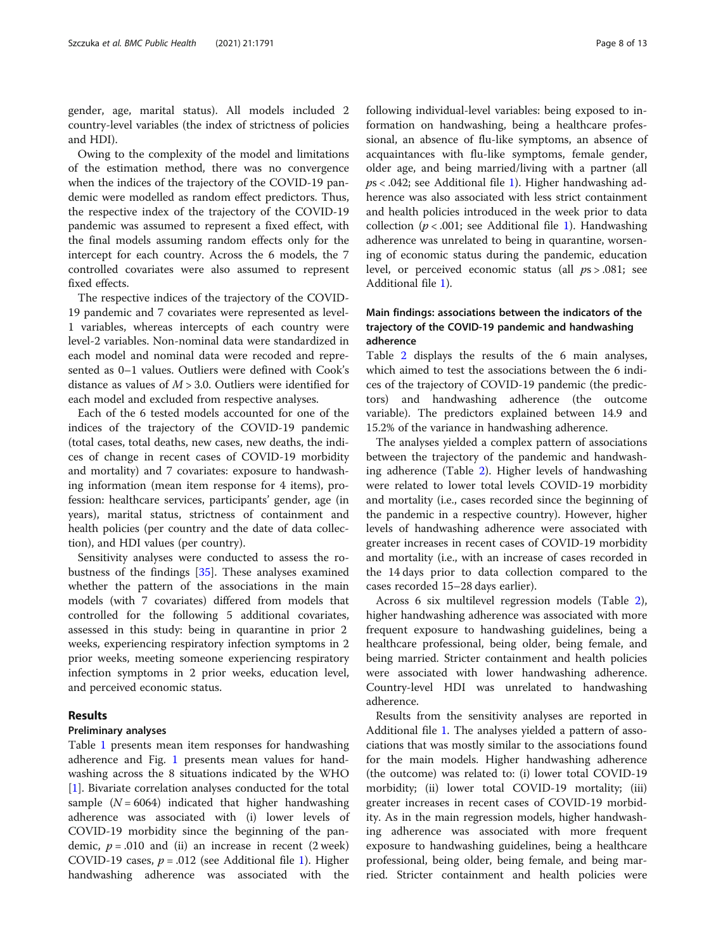gender, age, marital status). All models included 2 country-level variables (the index of strictness of policies and HDI).

Owing to the complexity of the model and limitations of the estimation method, there was no convergence when the indices of the trajectory of the COVID-19 pandemic were modelled as random effect predictors. Thus, the respective index of the trajectory of the COVID-19 pandemic was assumed to represent a fixed effect, with the final models assuming random effects only for the intercept for each country. Across the 6 models, the 7 controlled covariates were also assumed to represent fixed effects.

The respective indices of the trajectory of the COVID-19 pandemic and 7 covariates were represented as level-1 variables, whereas intercepts of each country were level-2 variables. Non-nominal data were standardized in each model and nominal data were recoded and represented as 0–1 values. Outliers were defined with Cook's distance as values of  $M > 3.0$ . Outliers were identified for each model and excluded from respective analyses.

Each of the 6 tested models accounted for one of the indices of the trajectory of the COVID-19 pandemic (total cases, total deaths, new cases, new deaths, the indices of change in recent cases of COVID-19 morbidity and mortality) and 7 covariates: exposure to handwashing information (mean item response for 4 items), profession: healthcare services, participants' gender, age (in years), marital status, strictness of containment and health policies (per country and the date of data collection), and HDI values (per country).

Sensitivity analyses were conducted to assess the robustness of the findings [\[35](#page-12-0)]. These analyses examined whether the pattern of the associations in the main models (with 7 covariates) differed from models that controlled for the following 5 additional covariates, assessed in this study: being in quarantine in prior 2 weeks, experiencing respiratory infection symptoms in 2 prior weeks, meeting someone experiencing respiratory infection symptoms in 2 prior weeks, education level, and perceived economic status.

## Results

## Preliminary analyses

Table [1](#page-4-0) presents mean item responses for handwashing adherence and Fig. [1](#page-8-0) presents mean values for handwashing across the 8 situations indicated by the WHO [[1\]](#page-11-0). Bivariate correlation analyses conducted for the total sample  $(N = 6064)$  indicated that higher handwashing adherence was associated with (i) lower levels of COVID-19 morbidity since the beginning of the pandemic,  $p = .010$  and (ii) an increase in recent (2 week) COVID-[1](#page-11-0)9 cases,  $p = .012$  (see Additional file 1). Higher handwashing adherence was associated with the following individual-level variables: being exposed to information on handwashing, being a healthcare professional, an absence of flu-like symptoms, an absence of acquaintances with flu-like symptoms, female gender, older age, and being married/living with a partner (all  $ps < .042$ ; see Additional file [1](#page-11-0)). Higher handwashing adherence was also associated with less strict containment and health policies introduced in the week prior to data collection ( $p < .001$ ; see Additional file [1\)](#page-11-0). Handwashing adherence was unrelated to being in quarantine, worsening of economic status during the pandemic, education level, or perceived economic status (all  $ps > .081$ ; see Additional file [1](#page-11-0)).

## Main findings: associations between the indicators of the trajectory of the COVID-19 pandemic and handwashing adherence

Table [2](#page-9-0) displays the results of the 6 main analyses, which aimed to test the associations between the 6 indices of the trajectory of COVID-19 pandemic (the predictors) and handwashing adherence (the outcome variable). The predictors explained between 14.9 and 15.2% of the variance in handwashing adherence.

The analyses yielded a complex pattern of associations between the trajectory of the pandemic and handwashing adherence (Table [2\)](#page-9-0). Higher levels of handwashing were related to lower total levels COVID-19 morbidity and mortality (i.e., cases recorded since the beginning of the pandemic in a respective country). However, higher levels of handwashing adherence were associated with greater increases in recent cases of COVID-19 morbidity and mortality (i.e., with an increase of cases recorded in the 14 days prior to data collection compared to the cases recorded 15–28 days earlier).

Across 6 six multilevel regression models (Table [2](#page-9-0)), higher handwashing adherence was associated with more frequent exposure to handwashing guidelines, being a healthcare professional, being older, being female, and being married. Stricter containment and health policies were associated with lower handwashing adherence. Country-level HDI was unrelated to handwashing adherence.

Results from the sensitivity analyses are reported in Additional file [1.](#page-11-0) The analyses yielded a pattern of associations that was mostly similar to the associations found for the main models. Higher handwashing adherence (the outcome) was related to: (i) lower total COVID-19 morbidity; (ii) lower total COVID-19 mortality; (iii) greater increases in recent cases of COVID-19 morbidity. As in the main regression models, higher handwashing adherence was associated with more frequent exposure to handwashing guidelines, being a healthcare professional, being older, being female, and being married. Stricter containment and health policies were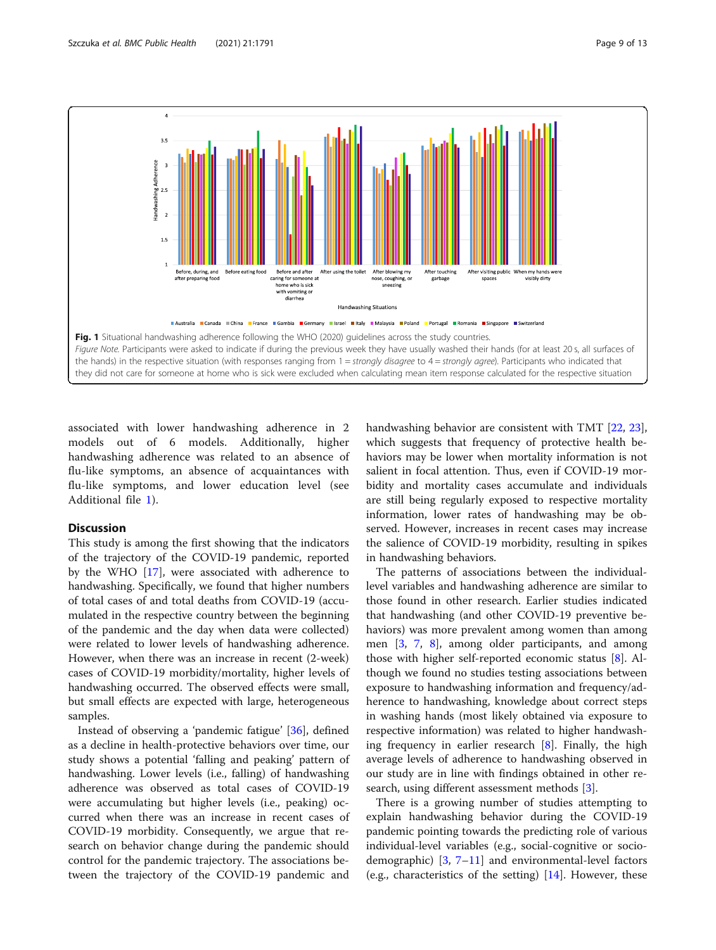<span id="page-8-0"></span>

associated with lower handwashing adherence in 2 models out of 6 models. Additionally, higher handwashing adherence was related to an absence of flu-like symptoms, an absence of acquaintances with flu-like symptoms, and lower education level (see Additional file [1](#page-11-0)).

#### **Discussion**

This study is among the first showing that the indicators of the trajectory of the COVID-19 pandemic, reported by the WHO [\[17](#page-12-0)], were associated with adherence to handwashing. Specifically, we found that higher numbers of total cases of and total deaths from COVID-19 (accumulated in the respective country between the beginning of the pandemic and the day when data were collected) were related to lower levels of handwashing adherence. However, when there was an increase in recent (2-week) cases of COVID-19 morbidity/mortality, higher levels of handwashing occurred. The observed effects were small, but small effects are expected with large, heterogeneous samples.

Instead of observing a 'pandemic fatigue' [[36\]](#page-12-0), defined as a decline in health-protective behaviors over time, our study shows a potential 'falling and peaking' pattern of handwashing. Lower levels (i.e., falling) of handwashing adherence was observed as total cases of COVID-19 were accumulating but higher levels (i.e., peaking) occurred when there was an increase in recent cases of COVID-19 morbidity. Consequently, we argue that research on behavior change during the pandemic should control for the pandemic trajectory. The associations between the trajectory of the COVID-19 pandemic and

handwashing behavior are consistent with TMT [\[22](#page-12-0), [23](#page-12-0)], which suggests that frequency of protective health behaviors may be lower when mortality information is not salient in focal attention. Thus, even if COVID-19 morbidity and mortality cases accumulate and individuals are still being regularly exposed to respective mortality information, lower rates of handwashing may be observed. However, increases in recent cases may increase the salience of COVID-19 morbidity, resulting in spikes in handwashing behaviors.

The patterns of associations between the individuallevel variables and handwashing adherence are similar to those found in other research. Earlier studies indicated that handwashing (and other COVID-19 preventive behaviors) was more prevalent among women than among men [[3,](#page-11-0) [7,](#page-12-0) [8](#page-12-0)], among older participants, and among those with higher self-reported economic status [\[8](#page-12-0)]. Although we found no studies testing associations between exposure to handwashing information and frequency/adherence to handwashing, knowledge about correct steps in washing hands (most likely obtained via exposure to respective information) was related to higher handwashing frequency in earlier research [\[8](#page-12-0)]. Finally, the high average levels of adherence to handwashing observed in our study are in line with findings obtained in other research, using different assessment methods [\[3](#page-11-0)].

There is a growing number of studies attempting to explain handwashing behavior during the COVID-19 pandemic pointing towards the predicting role of various individual-level variables (e.g., social-cognitive or sociodemographic)  $[3, 7-11]$  $[3, 7-11]$  $[3, 7-11]$  $[3, 7-11]$  $[3, 7-11]$  and environmental-level factors (e.g., characteristics of the setting) [[14\]](#page-12-0). However, these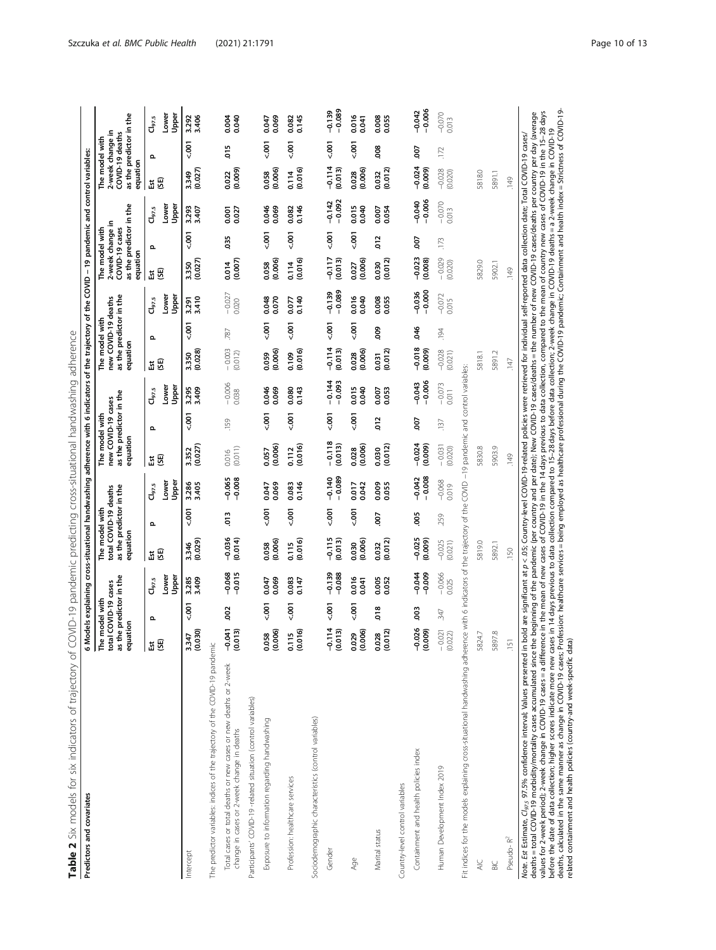| Table 2 Six models for six indicators of trajectory of C<br>Predictors and covariates                                                                                                                                                                                                                                                                                                                                                                                                                                                                                                                                                                                                                                                                                                                                                                                                                                                                                                                                                                                                          | o                                    |                                                            |                               |                                                                                |               |                                      | Models explaining cross-situational handwashing adherence with 6 indicators of the trajectory of the COVID - 19 pandemic and<br>COVID-19 pandemic predicting cross-situational handwashing adherence |               |                                       |                       |                                                                  |                                       |                     |                                                                                 |                                                 | control variables:                                                                           |             |                                      |
|------------------------------------------------------------------------------------------------------------------------------------------------------------------------------------------------------------------------------------------------------------------------------------------------------------------------------------------------------------------------------------------------------------------------------------------------------------------------------------------------------------------------------------------------------------------------------------------------------------------------------------------------------------------------------------------------------------------------------------------------------------------------------------------------------------------------------------------------------------------------------------------------------------------------------------------------------------------------------------------------------------------------------------------------------------------------------------------------|--------------------------------------|------------------------------------------------------------|-------------------------------|--------------------------------------------------------------------------------|---------------|--------------------------------------|------------------------------------------------------------------------------------------------------------------------------------------------------------------------------------------------------|---------------|---------------------------------------|-----------------------|------------------------------------------------------------------|---------------------------------------|---------------------|---------------------------------------------------------------------------------|-------------------------------------------------|----------------------------------------------------------------------------------------------|-------------|--------------------------------------|
|                                                                                                                                                                                                                                                                                                                                                                                                                                                                                                                                                                                                                                                                                                                                                                                                                                                                                                                                                                                                                                                                                                | uation<br>∣⊧<br>5<br>ន ខ             | the predictor in the<br>tal COVID-19 cases<br>e model with |                               | as the predictor in the<br>total COVID-19 deaths<br>The model with<br>equation |               |                                      | as the predictor in the<br>new COVID-19 cases<br>The model with<br>equation                                                                                                                          |               |                                       | equation              | as the predictor in the<br>new COVID-19 deaths<br>The model with |                                       | equation            | as the predictor in the<br>2-week change in<br>The model with<br>COVID-19 cases |                                                 | as the predictor in the<br>2-week change in<br>COVID-19 deaths<br>The model with<br>equation |             |                                      |
|                                                                                                                                                                                                                                                                                                                                                                                                                                                                                                                                                                                                                                                                                                                                                                                                                                                                                                                                                                                                                                                                                                | ដ មិ                                 | $\Omega$                                                   | Lower<br>Upper<br>$Cl_{97.5}$ | នីឌី                                                                           | Ω             | Lower<br>Upper<br>Cl <sub>97.5</sub> | ස<br>Εst                                                                                                                                                                                             | Ω             | Upper<br>Lower<br>$\mathsf{d}_{97.5}$ | ដ មិ                  | Ω                                                                | Upper<br>Lower<br>$\mathsf{d}_{97.5}$ | 50<br>Est           | Ω                                                                               | Lower<br>Upper<br>$\mathsf{C}\mathsf{I}_{97.5}$ | GB)<br>ă                                                                                     | Ω           | Lower<br>Upper<br>Cl <sub>97.5</sub> |
| Intercept                                                                                                                                                                                                                                                                                                                                                                                                                                                                                                                                                                                                                                                                                                                                                                                                                                                                                                                                                                                                                                                                                      | 030<br>547<br>್ಲ ರ                   | $500 - 7$                                                  | 3.285<br>3.409                | (0.029)<br>3.346                                                               | $500 - 7$     | 3.405<br>3.286                       | (0.027)<br>3.352                                                                                                                                                                                     | $500 - 7$     | 3.409<br>3.295                        | (0.028)<br>3.350      | $-001$                                                           | 3.410<br>3.291                        | (0.027)<br>3.350    | $-001$                                                                          | 3.293<br>3.407                                  | (0.027)<br>3.349                                                                             | $500 - 700$ | 3.406<br>3.292                       |
| The predictor variables: indices of the trajectory of the COVID-19 pandemic                                                                                                                                                                                                                                                                                                                                                                                                                                                                                                                                                                                                                                                                                                                                                                                                                                                                                                                                                                                                                    |                                      |                                                            |                               |                                                                                |               |                                      |                                                                                                                                                                                                      |               |                                       |                       |                                                                  |                                       |                     |                                                                                 |                                                 |                                                                                              |             |                                      |
| Total cases or total deaths or new cases or new deaths or 2-week<br>change in cases or 2-week change in deaths                                                                                                                                                                                                                                                                                                                                                                                                                                                                                                                                                                                                                                                                                                                                                                                                                                                                                                                                                                                 | $\overline{5}$<br>(510, 0)<br>ှိ ဒွိ | 300                                                        | $-0.068$<br>$-0.015$          | $-0.036$<br>(0.014)                                                            | $\frac{3}{2}$ | $-0.065$<br>$-0.008$                 | (0.011)<br>0.016                                                                                                                                                                                     | .159          | $-0.006$<br>0.038                     | $-0.003$<br>(0.012)   | 787                                                              | $-0.027$<br>0.020                     | (0.007)<br>0.014    | 35                                                                              | 0.027<br>0.001                                  | (0.009)<br>0.022                                                                             | e.o         | 0.040<br>0.004                       |
| Participants' COVID-19 -related situation (control variables)                                                                                                                                                                                                                                                                                                                                                                                                                                                                                                                                                                                                                                                                                                                                                                                                                                                                                                                                                                                                                                  |                                      |                                                            |                               |                                                                                |               |                                      |                                                                                                                                                                                                      |               |                                       |                       |                                                                  |                                       |                     |                                                                                 |                                                 |                                                                                              |             |                                      |
| Exposure to information regarding handwashing                                                                                                                                                                                                                                                                                                                                                                                                                                                                                                                                                                                                                                                                                                                                                                                                                                                                                                                                                                                                                                                  | 0.058<br>(0.006)                     | $500 - 700$                                                | 0.069<br>0.047                | (0.006)<br>0.058                                                               | $500 - 700$   | 0.069<br>0.047                       | (0.006)<br>0.057                                                                                                                                                                                     | $500 - 700$   | 0.046<br>0.069                        | (0.006)<br>0.059      | $-001$                                                           | 0.048<br>0.070                        | (0.006)<br>0.058    | $500 - 700$                                                                     | 0.046<br>0.069                                  | (0.006)<br>0.058                                                                             | $500 - 700$ | 0.069<br>0.047                       |
| Profession: healthcare services                                                                                                                                                                                                                                                                                                                                                                                                                                                                                                                                                                                                                                                                                                                                                                                                                                                                                                                                                                                                                                                                | 0.115<br>(0.016)                     | 5001                                                       | 0.083<br>0.147                | (0.016)<br>0.115                                                               | $500 - 700$   | 0.146<br>0.083                       | (0.016)<br>0.112                                                                                                                                                                                     | $500 - 700$   | 0.080<br>0.143                        | (0.016)<br>0.109      | $500 - 700$                                                      | 0.140<br>0.077                        | (0.016)<br>0.114    | $500 - 700$                                                                     | 0.146<br>0.082                                  | (0.016)<br>0.114                                                                             | $-001$      | 0.145<br>0.082                       |
| Sociodemographic characteristics (control variables)                                                                                                                                                                                                                                                                                                                                                                                                                                                                                                                                                                                                                                                                                                                                                                                                                                                                                                                                                                                                                                           |                                      |                                                            |                               |                                                                                |               |                                      |                                                                                                                                                                                                      |               |                                       |                       |                                                                  |                                       |                     |                                                                                 |                                                 |                                                                                              |             |                                      |
| Gender                                                                                                                                                                                                                                                                                                                                                                                                                                                                                                                                                                                                                                                                                                                                                                                                                                                                                                                                                                                                                                                                                         | 114<br>(510, 0)<br>۲e                | $500 - 700$                                                | $-0.088$<br>$-0.139$          | $-0.115$<br>(0.013)                                                            | $500 - 700$   | $-0.089$<br>$-0.140$                 | 0.118<br>(0.013)                                                                                                                                                                                     | 500           | $-0.093$<br>$-0.144$                  | $-0.114$<br>$(0.013)$ | $500 - 700$                                                      | $-0.089$<br>$-0.139$                  | -0.117<br>(0.013)   | $500 - 700$                                                                     | $-0.092$<br>$-0.142$                            | $-0.114$<br>(0.013)                                                                          | $500 - 7$   | $-0.089$<br>$-0.139$                 |
| Age                                                                                                                                                                                                                                                                                                                                                                                                                                                                                                                                                                                                                                                                                                                                                                                                                                                                                                                                                                                                                                                                                            | 0.029<br>(0.006)                     | $500 - 700$                                                | 0.016<br>0.041                | (0.006)<br>0.030                                                               | $500 - 700$   | 0.017<br>0.042                       | (0.006)<br>0.028                                                                                                                                                                                     | $500 - 700$   | 0.015<br>0.040                        | (0.006)<br>0.028      | $500 - 700$                                                      | 0.016<br>0.040                        | (0.006)<br>0.027    | $500 - 700$                                                                     | 0.015<br>0.040                                  | (0.006)<br>0.028                                                                             | $500 - 700$ | 0.016<br>0.041                       |
| Marital status                                                                                                                                                                                                                                                                                                                                                                                                                                                                                                                                                                                                                                                                                                                                                                                                                                                                                                                                                                                                                                                                                 | (20, 0)<br>0.028                     | 018                                                        | 0.005<br>0.052                | (0.012)<br>0.032                                                               | So            | 0.009<br>0.055                       | (0.012)<br>0.030                                                                                                                                                                                     | $\frac{2}{2}$ | 0.053<br>0.007                        | (0.012)<br>0.031      | eoo                                                              | 0.008<br>0.055                        | (0.012)<br>0.030    | $\frac{2}{2}$                                                                   | 0.054<br>0.007                                  | (0.012)<br>0.032                                                                             | 800         | 0.008<br>0.055                       |
| Country-level control variables                                                                                                                                                                                                                                                                                                                                                                                                                                                                                                                                                                                                                                                                                                                                                                                                                                                                                                                                                                                                                                                                |                                      |                                                            |                               |                                                                                |               |                                      |                                                                                                                                                                                                      |               |                                       |                       |                                                                  |                                       |                     |                                                                                 |                                                 |                                                                                              |             |                                      |
| Containment and health policies index                                                                                                                                                                                                                                                                                                                                                                                                                                                                                                                                                                                                                                                                                                                                                                                                                                                                                                                                                                                                                                                          | 026<br>(6000)                        | es                                                         | $-0.044$<br>$-0.009$          | $-0.025$<br>(0.009)                                                            | Soc           | $-0.008$<br>$-0.042$                 | $-0.024$<br>(0.009)                                                                                                                                                                                  | 50            | $-0.006$<br>$-0.043$                  | $-0.018$<br>(0.009)   | 8                                                                | $-0.000$<br>$-0.036$                  | $-0.023$<br>(0.008) | 50                                                                              | $-0.006$<br>$-0.040$                            | $-0.024$<br>(0.009)                                                                          | So.         | $-0.006$<br>$-0.042$                 |
| Human Development Index 2019                                                                                                                                                                                                                                                                                                                                                                                                                                                                                                                                                                                                                                                                                                                                                                                                                                                                                                                                                                                                                                                                   | 0.021<br>(0.022)<br>$\mathsf I$      | 347                                                        | $-0.066$<br>0.025             | $-0.025$<br>(0.021)                                                            | .259          | $-0.068$<br>0.019                    | $-0.031$<br>(0.020)                                                                                                                                                                                  | .137          | $-0.073$<br>0.011                     | $-0.028$<br>(0.021)   | 194                                                              | $-0.072$<br>0.015                     | $-0.029$<br>(0.020) | 173                                                                             | $-0.070$<br>0.013                               | $-0.028$<br>(0.020)                                                                          | 1172        | $-0.070$<br>0.013                    |
| Fit indices for the models explaining cross-situational handwashing adherence with 6 indicators of the trajectory of the COVID -19                                                                                                                                                                                                                                                                                                                                                                                                                                                                                                                                                                                                                                                                                                                                                                                                                                                                                                                                                             |                                      |                                                            |                               |                                                                                |               |                                      | pandemic and                                                                                                                                                                                         |               | control variables:                    |                       |                                                                  |                                       |                     |                                                                                 |                                                 |                                                                                              |             |                                      |
| <b>AIC</b>                                                                                                                                                                                                                                                                                                                                                                                                                                                                                                                                                                                                                                                                                                                                                                                                                                                                                                                                                                                                                                                                                     | 5824.7                               |                                                            |                               | 5819.0                                                                         |               |                                      | 5830.8                                                                                                                                                                                               |               |                                       | 5818.1                |                                                                  |                                       | 5829.0              |                                                                                 |                                                 | 5818.0                                                                                       |             |                                      |
| $\approx$                                                                                                                                                                                                                                                                                                                                                                                                                                                                                                                                                                                                                                                                                                                                                                                                                                                                                                                                                                                                                                                                                      | 5897.8                               |                                                            |                               | 5892.1                                                                         |               |                                      | 5903.9                                                                                                                                                                                               |               |                                       | 5891.2                |                                                                  |                                       | 5902.1              |                                                                                 |                                                 | 5891.1                                                                                       |             |                                      |
| Pseudo-R <sup>2</sup>                                                                                                                                                                                                                                                                                                                                                                                                                                                                                                                                                                                                                                                                                                                                                                                                                                                                                                                                                                                                                                                                          | $-151$                               |                                                            |                               | .150                                                                           |               |                                      | 149                                                                                                                                                                                                  |               |                                       | 147                   |                                                                  |                                       | ,149                |                                                                                 |                                                 | ,149                                                                                         |             |                                      |
| deaths, calculated in the same manner as change in COVID-19 cases; Profession: healthcare services = being employed as healthcare professional during the COVID-19 pandemic; Containment and health index = Strictness of COVI<br>values for 2-week period); 2-week change in COVID-19 cases = a difference in the mean of new cases of COVID-19 in the 14 days previous to data collection, compared to the mean of country new cases of COVID-19 in the 15–28<br>deaths=total COVID-19 morbidity/mortality cases accumulated since the beginning of the pandemic (per country and per date); New COVID-19 cases/deaths = the number of new COVID-19 cases/deaths per country per day (average<br>before the data collection; higher scores indicate more new cases in 14 days previous to data collection compared to 15-28 days before data collection; 2-week change in COVID-19 deaths = a 2-week change in COVID-19<br>related containment and health policies (country-and week-specific data)<br>Note. Est Estimate, Cl <sub>97.5</sub> 97.5% confidence interval; Values presented in |                                      |                                                            |                               |                                                                                |               |                                      | bold are significant at $p < 0$ 5; Country-level COVID-19-related policies were retrieved for individual self-reported data collection date; Total COVID-19 cases                                    |               |                                       |                       |                                                                  |                                       |                     |                                                                                 |                                                 |                                                                                              |             |                                      |

<span id="page-9-0"></span>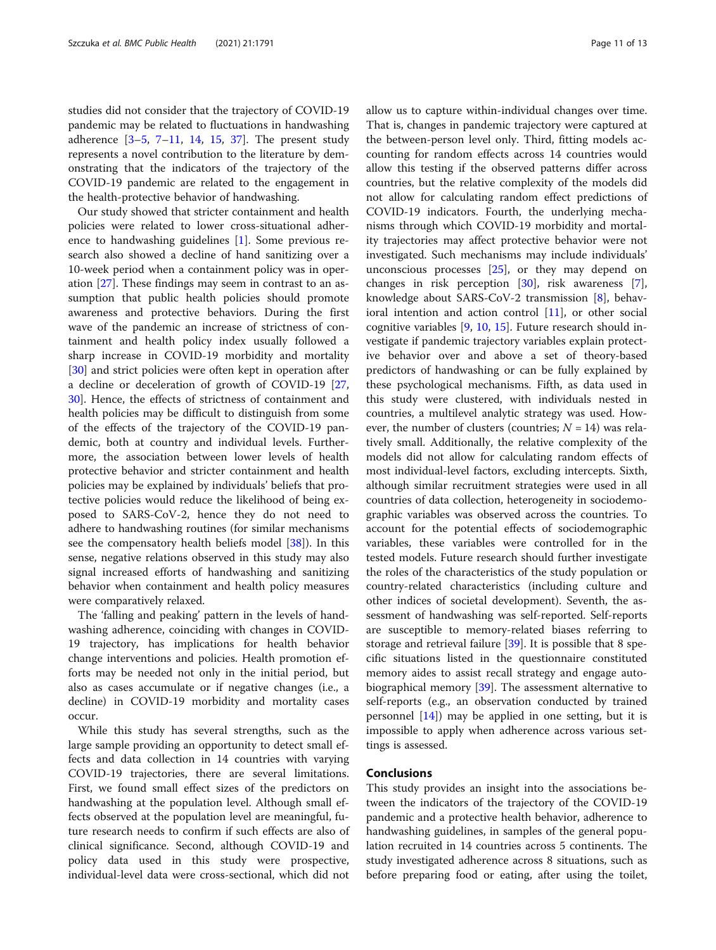studies did not consider that the trajectory of COVID-19 pandemic may be related to fluctuations in handwashing adherence [[3](#page-11-0)–[5](#page-11-0), [7](#page-12-0)–[11](#page-12-0), [14](#page-12-0), [15,](#page-12-0) [37\]](#page-12-0). The present study represents a novel contribution to the literature by demonstrating that the indicators of the trajectory of the COVID-19 pandemic are related to the engagement in the health-protective behavior of handwashing.

Our study showed that stricter containment and health policies were related to lower cross-situational adherence to handwashing guidelines [\[1](#page-11-0)]. Some previous research also showed a decline of hand sanitizing over a 10-week period when a containment policy was in operation [\[27](#page-12-0)]. These findings may seem in contrast to an assumption that public health policies should promote awareness and protective behaviors. During the first wave of the pandemic an increase of strictness of containment and health policy index usually followed a sharp increase in COVID-19 morbidity and mortality [[30\]](#page-12-0) and strict policies were often kept in operation after a decline or deceleration of growth of COVID-19 [[27](#page-12-0), [30\]](#page-12-0). Hence, the effects of strictness of containment and health policies may be difficult to distinguish from some of the effects of the trajectory of the COVID-19 pandemic, both at country and individual levels. Furthermore, the association between lower levels of health protective behavior and stricter containment and health policies may be explained by individuals' beliefs that protective policies would reduce the likelihood of being exposed to SARS-CoV-2, hence they do not need to adhere to handwashing routines (for similar mechanisms see the compensatory health beliefs model [\[38](#page-12-0)]). In this sense, negative relations observed in this study may also signal increased efforts of handwashing and sanitizing behavior when containment and health policy measures were comparatively relaxed.

The 'falling and peaking' pattern in the levels of handwashing adherence, coinciding with changes in COVID-19 trajectory, has implications for health behavior change interventions and policies. Health promotion efforts may be needed not only in the initial period, but also as cases accumulate or if negative changes (i.e., a decline) in COVID-19 morbidity and mortality cases occur.

While this study has several strengths, such as the large sample providing an opportunity to detect small effects and data collection in 14 countries with varying COVID-19 trajectories, there are several limitations. First, we found small effect sizes of the predictors on handwashing at the population level. Although small effects observed at the population level are meaningful, future research needs to confirm if such effects are also of clinical significance. Second, although COVID-19 and policy data used in this study were prospective, individual-level data were cross-sectional, which did not

allow us to capture within-individual changes over time. That is, changes in pandemic trajectory were captured at the between-person level only. Third, fitting models accounting for random effects across 14 countries would allow this testing if the observed patterns differ across countries, but the relative complexity of the models did not allow for calculating random effect predictions of COVID-19 indicators. Fourth, the underlying mechanisms through which COVID-19 morbidity and mortality trajectories may affect protective behavior were not investigated. Such mechanisms may include individuals' unconscious processes  $[25]$  $[25]$ , or they may depend on changes in risk perception [[30\]](#page-12-0), risk awareness [\[7](#page-12-0)], knowledge about SARS-CoV-2 transmission [[8\]](#page-12-0), behavioral intention and action control [\[11](#page-12-0)], or other social cognitive variables [\[9](#page-12-0), [10](#page-12-0), [15](#page-12-0)]. Future research should investigate if pandemic trajectory variables explain protective behavior over and above a set of theory-based predictors of handwashing or can be fully explained by these psychological mechanisms. Fifth, as data used in this study were clustered, with individuals nested in countries, a multilevel analytic strategy was used. However, the number of clusters (countries;  $N = 14$ ) was relatively small. Additionally, the relative complexity of the models did not allow for calculating random effects of most individual-level factors, excluding intercepts. Sixth, although similar recruitment strategies were used in all countries of data collection, heterogeneity in sociodemographic variables was observed across the countries. To account for the potential effects of sociodemographic variables, these variables were controlled for in the tested models. Future research should further investigate the roles of the characteristics of the study population or country-related characteristics (including culture and other indices of societal development). Seventh, the assessment of handwashing was self-reported. Self-reports are susceptible to memory-related biases referring to storage and retrieval failure [[39\]](#page-12-0). It is possible that 8 specific situations listed in the questionnaire constituted memory aides to assist recall strategy and engage autobiographical memory [\[39](#page-12-0)]. The assessment alternative to self-reports (e.g., an observation conducted by trained personnel  $[14]$  $[14]$  may be applied in one setting, but it is impossible to apply when adherence across various settings is assessed.

## Conclusions

This study provides an insight into the associations between the indicators of the trajectory of the COVID-19 pandemic and a protective health behavior, adherence to handwashing guidelines, in samples of the general population recruited in 14 countries across 5 continents. The study investigated adherence across 8 situations, such as before preparing food or eating, after using the toilet,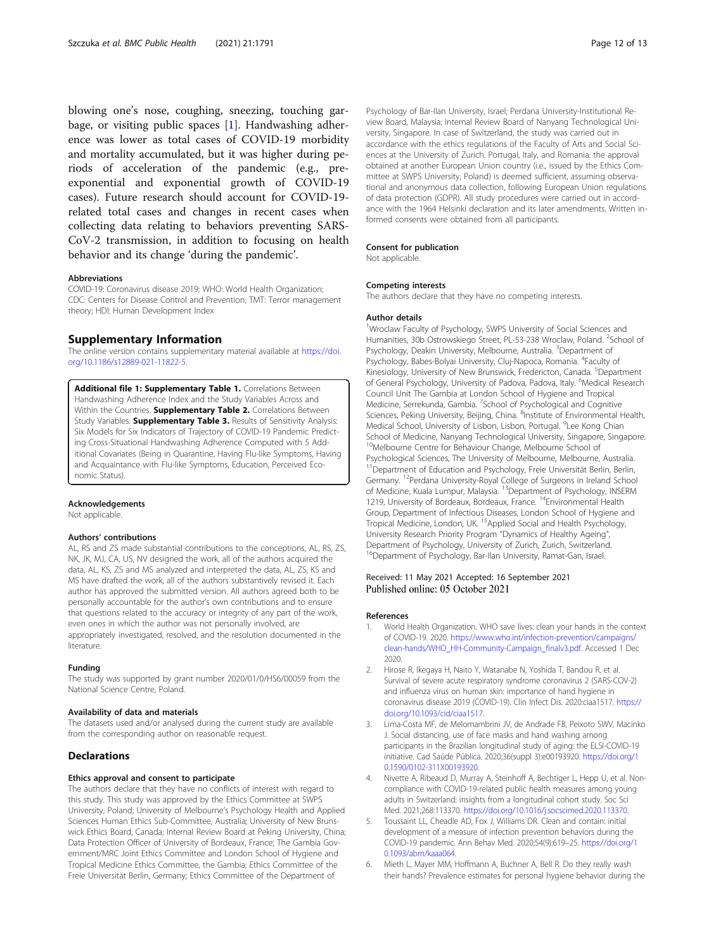<span id="page-11-0"></span>blowing one's nose, coughing, sneezing, touching garbage, or visiting public spaces [1]. Handwashing adherence was lower as total cases of COVID-19 morbidity and mortality accumulated, but it was higher during periods of acceleration of the pandemic (e.g., preexponential and exponential growth of COVID-19 cases). Future research should account for COVID-19 related total cases and changes in recent cases when collecting data relating to behaviors preventing SARS-CoV-2 transmission, in addition to focusing on health behavior and its change 'during the pandemic'.

#### Abbreviations

COVID-19: Coronavirus disease 2019; WHO: World Health Organization; CDC: Centers for Disease Control and Prevention; TMT: Terror management theory; HDI: Human Development Index

#### Supplementary Information

The online version contains supplementary material available at [https://doi.](https://doi.org/10.1186/s12889-021-11822-5) [org/10.1186/s12889-021-11822-5.](https://doi.org/10.1186/s12889-021-11822-5)

Additional file 1: Supplementary Table 1. Correlations Between Handwashing Adherence Index and the Study Variables Across and Within the Countries. Supplementary Table 2. Correlations Between Study Variables. **Supplementary Table 3.** Results of Sensitivity Analysis: Six Models for Six Indicators of Trajectory of COVID-19 Pandemic Predicting Cross-Situational Handwashing Adherence Computed with 5 Additional Covariates (Being in Quarantine, Having Flu-like Symptoms, Having and Acquaintance with Flu-like Symptoms, Education, Perceived Economic Status).

#### Acknowledgements

Not applicable.

#### Authors' contributions

AL, RS and ZS made substantial contributions to the conceptions, AL, RS, ZS, NK, JK, MJ, CA, US, NV designed the work, all of the authors acquired the data, AL, KS, ZS and MS analyzed and interpreted the data, AL, ZS, KS and MS have drafted the work, all of the authors substantively revised it. Each author has approved the submitted version. All authors agreed both to be personally accountable for the author's own contributions and to ensure that questions related to the accuracy or integrity of any part of the work, even ones in which the author was not personally involved, are appropriately investigated, resolved, and the resolution documented in the **literature** 

#### Funding

The study was supported by grant number 2020/01/0/HS6/00059 from the National Science Centre, Poland.

#### Availability of data and materials

The datasets used and/or analysed during the current study are available from the corresponding author on reasonable request.

#### **Declarations**

#### Ethics approval and consent to participate

The authors declare that they have no conflicts of interest with regard to this study. This study was approved by the Ethics Committee at SWPS University, Poland; University of Melbourne's Psychology Health and Applied Sciences Human Ethics Sub-Committee, Australia; University of New Brunswick Ethics Board, Canada; Internal Review Board at Peking University, China; Data Protection Officer of University of Bordeaux, France; The Gambia Government/MRC Joint Ethics Committee and London School of Hygiene and Tropical Medicine Ethics Committee, the Gambia; Ethics Committee of the Freie Universität Berlin, Germany; Ethics Committee of the Department of

Psychology of Bar-Ilan University, Israel; Perdana University-Institutional Review Board, Malaysia; Internal Review Board of Nanyang Technological University, Singapore. In case of Switzerland, the study was carried out in accordance with the ethics regulations of the Faculty of Arts and Social Sciences at the University of Zurich. Portugal, Italy, and Romania: the approval obtained at another European Union country (i.e., issued by the Ethics Committee at SWPS University, Poland) is deemed sufficient, assuming observational and anonymous data collection, following European Union regulations of data protection (GDPR). All study procedures were carried out in accordance with the 1964 Helsinki declaration and its later amendments. Written informed consents were obtained from all participants.

#### Consent for publication

Not applicable.

#### Competing interests

The authors declare that they have no competing interests.

#### Author details

<sup>1</sup>Wroclaw Faculty of Psychology, SWPS University of Social Sciences and Humanities, 30b Ostrowskiego Street, PL-53-238 Wroclaw, Poland. <sup>2</sup>School of Psychology, Deakin University, Melbourne, Australia. <sup>3</sup>Department of Psychology, Babes-Bolyai University, Cluj-Napoca, Romania. <sup>4</sup>Faculty of Kinesiology, University of New Brunswick, Fredericton, Canada. <sup>5</sup>Department of General Psychology, University of Padova, Padova, Italy. <sup>6</sup>Medical Research Council Unit The Gambia at London School of Hygiene and Tropical Medicine, Serrekunda, Gambia. <sup>7</sup>School of Psychological and Cognitive Sciences, Peking University, Beijing, China. <sup>8</sup>Institute of Environmental Health Medical School, University of Lisbon, Lisbon, Portugal. <sup>9</sup>Lee Kong Chian School of Medicine, Nanyang Technological University, Singapore, Singapore. <sup>10</sup>Melbourne Centre for Behaviour Change, Melbourne School of Psychological Sciences, The University of Melbourne, Melbourne, Australia. <sup>11</sup>Department of Education and Psychology, Freie Universität Berlin, Berlin, Germany. 12Perdana University-Royal College of Surgeons in Ireland School of Medicine, Kuala Lumpur, Malaysia. 13Department of Psychology, INSERM 1219, University of Bordeaux, Bordeaux, France. <sup>14</sup>Environmental Health Group, Department of Infectious Diseases, London School of Hygiene and Tropical Medicine, London, UK. 15Applied Social and Health Psychology, University Research Priority Program "Dynamics of Healthy Ageing", Department of Psychology, University of Zurich, Zurich, Switzerland. <sup>16</sup>Department of Psychology, Bar-Ilan University, Ramat-Gan, Israel.

# Received: 11 May 2021 Accepted: 16 September 2021<br>Published online: 05 October 2021

#### References

- World Health Organization. WHO save lives: clean your hands in the context of COVID-19. 2020. [https://www.who.int/infection-prevention/campaigns/](https://www.who.int/infection-prevention/campaigns/clean-hands/WHO_HH-Community-Campaign_finalv3.pdf) [clean-hands/WHO\\_HH-Community-Campaign\\_finalv3.pdf.](https://www.who.int/infection-prevention/campaigns/clean-hands/WHO_HH-Community-Campaign_finalv3.pdf) Accessed 1 Dec 2020.
- 2. Hirose R, Ikegaya H, Naito Y, Watanabe N, Yoshida T, Bandou R, et al. Survival of severe acute respiratory syndrome coronavirus 2 (SARS-COV-2) and influenza virus on human skin: importance of hand hygiene in coronavirus disease 2019 (COVID-19). Clin Infect Dis. 2020:ciaa1517. [https://](https://doi.org/10.1093/cid/ciaa1517) [doi.org/10.1093/cid/ciaa1517.](https://doi.org/10.1093/cid/ciaa1517)
- 3. Lima-Costa MF, de Melomambrini JV, de Andrade FB, Peixoto SWV, Macinko J. Social distancing, use of face masks and hand washing among participants in the Brazilian longitudinal study of aging: the ELSI-COVID-19 initiative. Cad Saúde Pública. 2020;36(suppl 3):e00193920. [https://doi.org/1](https://doi.org/10.1590/0102-311X00193920) [0.1590/0102-311X00193920.](https://doi.org/10.1590/0102-311X00193920)
- Nivette A, Ribeaud D, Murray A, Steinhoff A, Bechtiger L, Hepp U, et al. Noncompliance with COVID-19-related public health measures among young adults in Switzerland: insights from a longitudinal cohort study. Soc Sci Med. 2021;268:113370. <https://doi.org/10.1016/j.socscimed.2020.113370>.
- 5. Toussaint LL, Cheadle AD, Fox J, Williams DR. Clean and contain: initial development of a measure of infection prevention behaviors during the COVID-19 pandemic. Ann Behav Med. 2020;54(9):619–25. [https://doi.org/1](https://doi.org/10.1093/abm/kaaa064) [0.1093/abm/kaaa064](https://doi.org/10.1093/abm/kaaa064).
- 6. Mieth L, Mayer MM, Hoffmann A, Buchner A, Bell R. Do they really wash their hands? Prevalence estimates for personal hygiene behavior during the